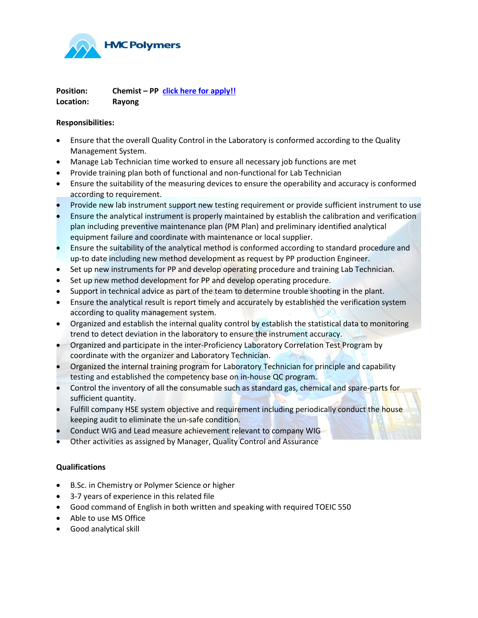

**Position: Chemist – PP [click here for apply!!](https://www.hmccareers.com/login.php) Location: Rayong**

## **Responsibilities:**

- Ensure that the overall Quality Control in the Laboratory is conformed according to the Quality Management System.
- Manage Lab Technician time worked to ensure all necessary job functions are met
- Provide training plan both of functional and non-functional for Lab Technician
- Ensure the suitability of the measuring devices to ensure the operability and accuracy is conformed according to requirement.
- Provide new lab instrument support new testing requirement or provide sufficient instrument to use
- Ensure the analytical instrument is properly maintained by establish the calibration and verification plan including preventive maintenance plan (PM Plan) and preliminary identified analytical equipment failure and coordinate with maintenance or local supplier.
- Ensure the suitability of the analytical method is conformed according to standard procedure and up-to date including new method development as request by PP production Engineer.
- Set up new instruments for PP and develop operating procedure and training Lab Technician.
- Set up new method development for PP and develop operating procedure.
- Support in technical advice as part of the team to determine trouble shooting in the plant.
- Ensure the analytical result is report timely and accurately by established the verification system according to quality management system.
- Organized and establish the internal quality control by establish the statistical data to monitoring trend to detect deviation in the laboratory to ensure the instrument accuracy.
- Organized and participate in the inter-Proficiency Laboratory Correlation Test Program by coordinate with the organizer and Laboratory Technician.
- Organized the internal training program for Laboratory Technician for principle and capability testing and established the competency base on in-house QC program.
- Control the inventory of all the consumable such as standard gas, chemical and spare-parts for sufficient quantity.
- Fulfill company HSE system objective and requirement including periodically conduct the house keeping audit to eliminate the un-safe condition.
- Conduct WIG and Lead measure achievement relevant to company WIG
- Other activities as assigned by Manager, Quality Control and Assurance

## **Qualifications**

- B.Sc. in Chemistry or Polymer Science or higher
- 3-7 years of experience in this related file
- Good command of English in both written and speaking with required TOEIC 550
- Able to use MS Office
- Good analytical skill